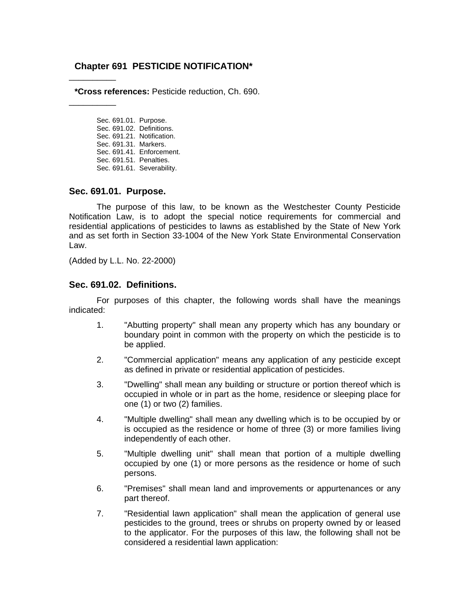# **Chapter 691 PESTICIDE NOTIFICATION\***

**\*Cross references:** Pesticide reduction, Ch. 690.

Sec. 691.01. Purpose. Sec. 691.02. Definitions. Sec. 691.21. Notification. Sec. 691.31. Markers. Sec. 691.41. Enforcement. Sec. 691.51. Penalties. Sec. 691.61. Severability.

#### **Sec. 691.01. Purpose.**

\_\_\_\_\_\_\_\_\_\_

\_\_\_\_\_\_\_\_\_\_

The purpose of this law, to be known as the Westchester County Pesticide Notification Law, is to adopt the special notice requirements for commercial and residential applications of pesticides to lawns as established by the State of New York and as set forth in Section 33-1004 of the New York State Environmental Conservation Law.

(Added by L.L. No. 22-2000)

#### **Sec. 691.02. Definitions.**

For purposes of this chapter, the following words shall have the meanings indicated:

- 1. "Abutting property" shall mean any property which has any boundary or boundary point in common with the property on which the pesticide is to be applied.
- 2. "Commercial application" means any application of any pesticide except as defined in private or residential application of pesticides.
- 3. "Dwelling" shall mean any building or structure or portion thereof which is occupied in whole or in part as the home, residence or sleeping place for one (1) or two (2) families.
- 4. "Multiple dwelling" shall mean any dwelling which is to be occupied by or is occupied as the residence or home of three (3) or more families living independently of each other.
- 5. "Multiple dwelling unit" shall mean that portion of a multiple dwelling occupied by one (1) or more persons as the residence or home of such persons.
- 6. "Premises" shall mean land and improvements or appurtenances or any part thereof.
- 7. "Residential lawn application" shall mean the application of general use pesticides to the ground, trees or shrubs on property owned by or leased to the applicator. For the purposes of this law, the following shall not be considered a residential lawn application: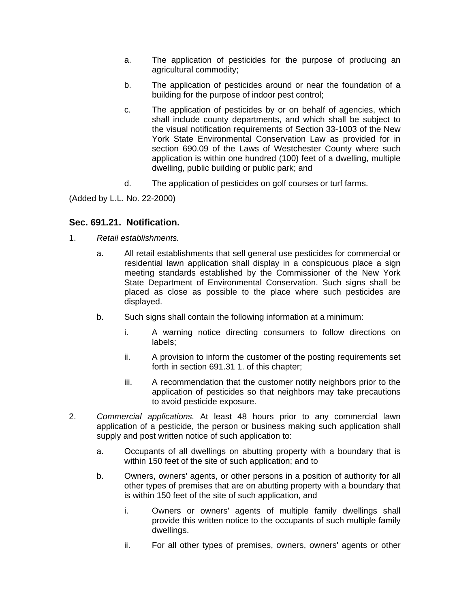- a. The application of pesticides for the purpose of producing an agricultural commodity;
- b. The application of pesticides around or near the foundation of a building for the purpose of indoor pest control;
- c. The application of pesticides by or on behalf of agencies, which shall include county departments, and which shall be subject to the visual notification requirements of Section 33-1003 of the New York State Environmental Conservation Law as provided for in section 690.09 of the Laws of Westchester County where such application is within one hundred (100) feet of a dwelling, multiple dwelling, public building or public park; and
- d. The application of pesticides on golf courses or turf farms.

(Added by L.L. No. 22-2000)

# **Sec. 691.21. Notification.**

- 1. *Retail establishments.* 
	- a. All retail establishments that sell general use pesticides for commercial or residential lawn application shall display in a conspicuous place a sign meeting standards established by the Commissioner of the New York State Department of Environmental Conservation. Such signs shall be placed as close as possible to the place where such pesticides are displayed.
	- b. Such signs shall contain the following information at a minimum:
		- i. A warning notice directing consumers to follow directions on labels;
		- ii. A provision to inform the customer of the posting requirements set forth in section 691.31 1. of this chapter;
		- iii. A recommendation that the customer notify neighbors prior to the application of pesticides so that neighbors may take precautions to avoid pesticide exposure.
- 2. *Commercial applications.* At least 48 hours prior to any commercial lawn application of a pesticide, the person or business making such application shall supply and post written notice of such application to:
	- a. Occupants of all dwellings on abutting property with a boundary that is within 150 feet of the site of such application; and to
	- b. Owners, owners' agents, or other persons in a position of authority for all other types of premises that are on abutting property with a boundary that is within 150 feet of the site of such application, and
		- i. Owners or owners' agents of multiple family dwellings shall provide this written notice to the occupants of such multiple family dwellings.
		- ii. For all other types of premises, owners, owners' agents or other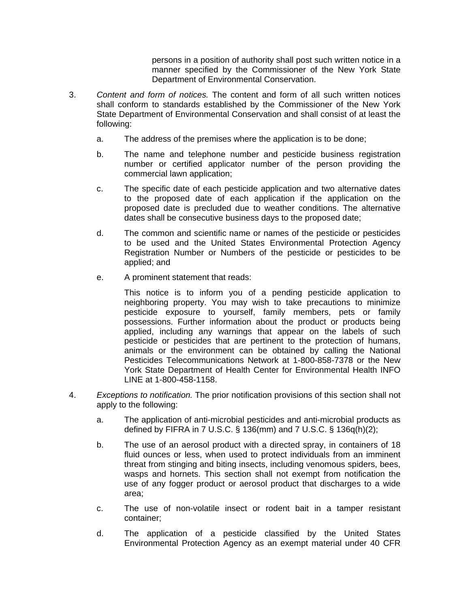persons in a position of authority shall post such written notice in a manner specified by the Commissioner of the New York State Department of Environmental Conservation.

- 3. *Content and form of notices.* The content and form of all such written notices shall conform to standards established by the Commissioner of the New York State Department of Environmental Conservation and shall consist of at least the following:
	- a. The address of the premises where the application is to be done;
	- b. The name and telephone number and pesticide business registration number or certified applicator number of the person providing the commercial lawn application;
	- c. The specific date of each pesticide application and two alternative dates to the proposed date of each application if the application on the proposed date is precluded due to weather conditions. The alternative dates shall be consecutive business days to the proposed date;
	- d. The common and scientific name or names of the pesticide or pesticides to be used and the United States Environmental Protection Agency Registration Number or Numbers of the pesticide or pesticides to be applied; and
	- e. A prominent statement that reads:

This notice is to inform you of a pending pesticide application to neighboring property. You may wish to take precautions to minimize pesticide exposure to yourself, family members, pets or family possessions. Further information about the product or products being applied, including any warnings that appear on the labels of such pesticide or pesticides that are pertinent to the protection of humans, animals or the environment can be obtained by calling the National Pesticides Telecommunications Network at 1-800-858-7378 or the New York State Department of Health Center for Environmental Health INFO LINE at 1-800-458-1158.

- 4. *Exceptions to notification.* The prior notification provisions of this section shall not apply to the following:
	- a. The application of anti-microbial pesticides and anti-microbial products as defined by FIFRA in 7 U.S.C. § 136(mm) and 7 U.S.C. § 136q(h)(2);
	- b. The use of an aerosol product with a directed spray, in containers of 18 fluid ounces or less, when used to protect individuals from an imminent threat from stinging and biting insects, including venomous spiders, bees, wasps and hornets. This section shall not exempt from notification the use of any fogger product or aerosol product that discharges to a wide area;
	- c. The use of non-volatile insect or rodent bait in a tamper resistant container;
	- d. The application of a pesticide classified by the United States Environmental Protection Agency as an exempt material under 40 CFR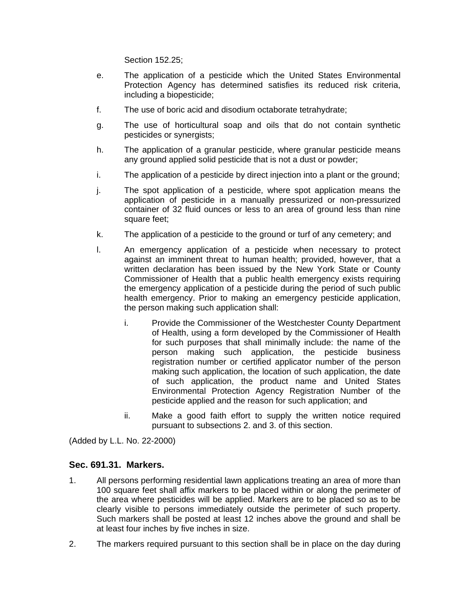Section 152.25;

- e. The application of a pesticide which the United States Environmental Protection Agency has determined satisfies its reduced risk criteria, including a biopesticide;
- f. The use of boric acid and disodium octaborate tetrahydrate;
- g. The use of horticultural soap and oils that do not contain synthetic pesticides or synergists;
- h. The application of a granular pesticide, where granular pesticide means any ground applied solid pesticide that is not a dust or powder;
- i. The application of a pesticide by direct injection into a plant or the ground;
- j. The spot application of a pesticide, where spot application means the application of pesticide in a manually pressurized or non-pressurized container of 32 fluid ounces or less to an area of ground less than nine square feet;
- k. The application of a pesticide to the ground or turf of any cemetery; and
- l. An emergency application of a pesticide when necessary to protect against an imminent threat to human health; provided, however, that a written declaration has been issued by the New York State or County Commissioner of Health that a public health emergency exists requiring the emergency application of a pesticide during the period of such public health emergency. Prior to making an emergency pesticide application, the person making such application shall:
	- i. Provide the Commissioner of the Westchester County Department of Health, using a form developed by the Commissioner of Health for such purposes that shall minimally include: the name of the person making such application, the pesticide business registration number or certified applicator number of the person making such application, the location of such application, the date of such application, the product name and United States Environmental Protection Agency Registration Number of the pesticide applied and the reason for such application; and
	- ii. Make a good faith effort to supply the written notice required pursuant to subsections 2. and 3. of this section.

(Added by L.L. No. 22-2000)

## **Sec. 691.31. Markers.**

- 1. All persons performing residential lawn applications treating an area of more than 100 square feet shall affix markers to be placed within or along the perimeter of the area where pesticides will be applied. Markers are to be placed so as to be clearly visible to persons immediately outside the perimeter of such property. Such markers shall be posted at least 12 inches above the ground and shall be at least four inches by five inches in size.
- 2. The markers required pursuant to this section shall be in place on the day during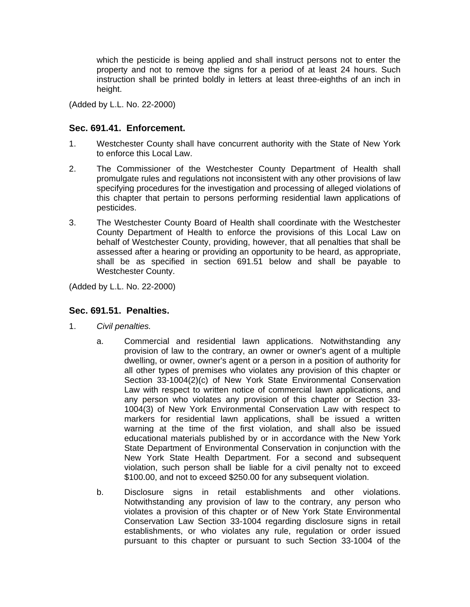which the pesticide is being applied and shall instruct persons not to enter the property and not to remove the signs for a period of at least 24 hours. Such instruction shall be printed boldly in letters at least three-eighths of an inch in height.

(Added by L.L. No. 22-2000)

# **Sec. 691.41. Enforcement.**

- 1. Westchester County shall have concurrent authority with the State of New York to enforce this Local Law.
- 2. The Commissioner of the Westchester County Department of Health shall promulgate rules and regulations not inconsistent with any other provisions of law specifying procedures for the investigation and processing of alleged violations of this chapter that pertain to persons performing residential lawn applications of pesticides.
- 3. The Westchester County Board of Health shall coordinate with the Westchester County Department of Health to enforce the provisions of this Local Law on behalf of Westchester County, providing, however, that all penalties that shall be assessed after a hearing or providing an opportunity to be heard, as appropriate, shall be as specified in section 691.51 below and shall be payable to Westchester County.

(Added by L.L. No. 22-2000)

## **Sec. 691.51. Penalties.**

- 1. *Civil penalties.* 
	- a. Commercial and residential lawn applications. Notwithstanding any provision of law to the contrary, an owner or owner's agent of a multiple dwelling, or owner, owner's agent or a person in a position of authority for all other types of premises who violates any provision of this chapter or Section 33-1004(2)(c) of New York State Environmental Conservation Law with respect to written notice of commercial lawn applications, and any person who violates any provision of this chapter or Section 33- 1004(3) of New York Environmental Conservation Law with respect to markers for residential lawn applications, shall be issued a written warning at the time of the first violation, and shall also be issued educational materials published by or in accordance with the New York State Department of Environmental Conservation in conjunction with the New York State Health Department. For a second and subsequent violation, such person shall be liable for a civil penalty not to exceed \$100.00, and not to exceed \$250.00 for any subsequent violation.
	- b. Disclosure signs in retail establishments and other violations. Notwithstanding any provision of law to the contrary, any person who violates a provision of this chapter or of New York State Environmental Conservation Law Section 33-1004 regarding disclosure signs in retail establishments, or who violates any rule, regulation or order issued pursuant to this chapter or pursuant to such Section 33-1004 of the